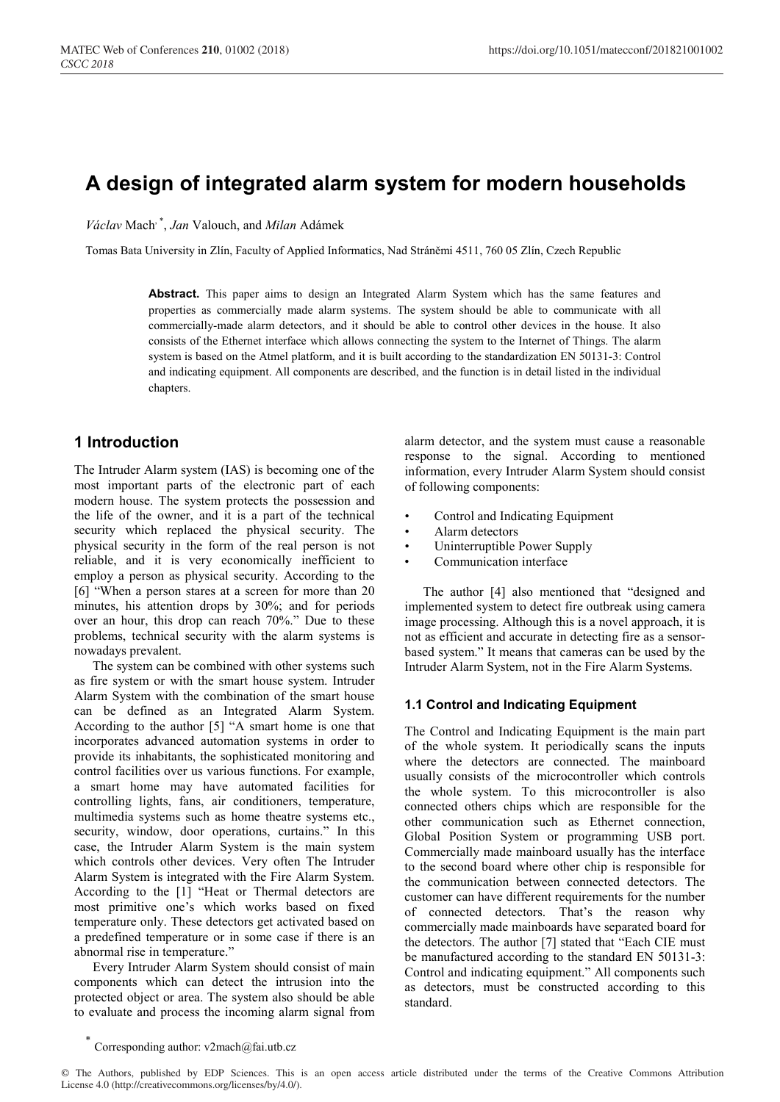# **A design of integrated alarm system for modern households**

*Václav* Mach, \* , *Jan* Valouch, and *Milan* Adámek

Tomas Bata University in Zlín, Faculty of Applied Informatics, Nad Stráněmi 4511, 760 05 Zlín, Czech Republic

**Abstract.** This paper aims to design an Integrated Alarm System which has the same features and properties as commercially made alarm systems. The system should be able to communicate with all commercially-made alarm detectors, and it should be able to control other devices in the house. It also consists of the Ethernet interface which allows connecting the system to the Internet of Things. The alarm system is based on the Atmel platform, and it is built according to the standardization EN 50131-3: Control and indicating equipment. All components are described, and the function is in detail listed in the individual chapters.

## **1 Introduction**

The Intruder Alarm system (IAS) is becoming one of the most important parts of the electronic part of each modern house. The system protects the possession and the life of the owner, and it is a part of the technical security which replaced the physical security. The physical security in the form of the real person is not reliable, and it is very economically inefficient to employ a person as physical security. According to the [6] "When a person stares at a screen for more than 20 minutes, his attention drops by 30%; and for periods over an hour, this drop can reach 70%." Due to these problems, technical security with the alarm systems is nowadays prevalent.

The system can be combined with other systems such as fire system or with the smart house system. Intruder Alarm System with the combination of the smart house can be defined as an Integrated Alarm System. According to the author [5] "A smart home is one that incorporates advanced automation systems in order to provide its inhabitants, the sophisticated monitoring and control facilities over us various functions. For example, a smart home may have automated facilities for controlling lights, fans, air conditioners, temperature, multimedia systems such as home theatre systems etc., security, window, door operations, curtains." In this case, the Intruder Alarm System is the main system which controls other devices. Very often The Intruder Alarm System is integrated with the Fire Alarm System. According to the [1] "Heat or Thermal detectors are most primitive one's which works based on fixed temperature only. These detectors get activated based on a predefined temperature or in some case if there is an abnormal rise in temperature."

Every Intruder Alarm System should consist of main components which can detect the intrusion into the protected object or area. The system also should be able to evaluate and process the incoming alarm signal from

alarm detector, and the system must cause a reasonable response to the signal. According to mentioned information, every Intruder Alarm System should consist of following components:

- Control and Indicating Equipment
- Alarm detectors
- Uninterruptible Power Supply
- Communication interface

The author [4] also mentioned that "designed and implemented system to detect fire outbreak using camera image processing. Although this is a novel approach, it is not as efficient and accurate in detecting fire as a sensorbased system." It means that cameras can be used by the Intruder Alarm System, not in the Fire Alarm Systems.

### **1.1 Control and Indicating Equipment**

The Control and Indicating Equipment is the main part of the whole system. It periodically scans the inputs where the detectors are connected. The mainboard usually consists of the microcontroller which controls the whole system. To this microcontroller is also connected others chips which are responsible for the other communication such as Ethernet connection, Global Position System or programming USB port. Commercially made mainboard usually has the interface to the second board where other chip is responsible for the communication between connected detectors. The customer can have different requirements for the number of connected detectors. That's the reason why commercially made mainboards have separated board for the detectors. The author [7] stated that "Each CIE must be manufactured according to the standard EN 50131-3: Control and indicating equipment." All components such as detectors, must be constructed according to this standard.

Corresponding author: v2mach@fai.utb.cz

<sup>©</sup> The Authors, published by EDP Sciences. This is an open access article distributed under the terms of the Creative Commons Attribution License 4.0 (http://creativecommons.org/licenses/by/4.0/).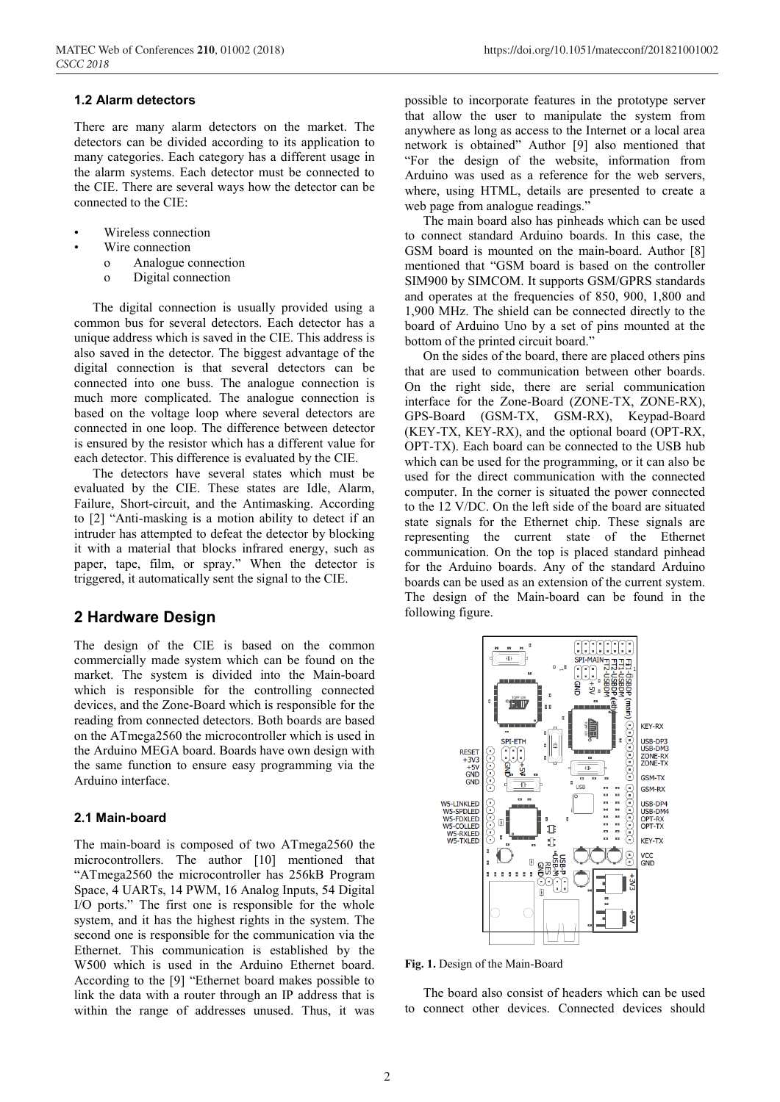#### **1.2 Alarm detectors**

There are many alarm detectors on the market. The detectors can be divided according to its application to many categories. Each category has a different usage in the alarm systems. Each detector must be connected to the CIE. There are several ways how the detector can be connected to the CIE:

- Wireless connection
- Wire connection
	- o Analogue connection
	- o Digital connection

The digital connection is usually provided using a common bus for several detectors. Each detector has a unique address which is saved in the CIE. This address is also saved in the detector. The biggest advantage of the digital connection is that several detectors can be connected into one buss. The analogue connection is much more complicated. The analogue connection is based on the voltage loop where several detectors are connected in one loop. The difference between detector is ensured by the resistor which has a different value for each detector. This difference is evaluated by the CIE.

The detectors have several states which must be evaluated by the CIE. These states are Idle, Alarm, Failure, Short-circuit, and the Antimasking. According to [2] "Anti-masking is a motion ability to detect if an intruder has attempted to defeat the detector by blocking it with a material that blocks infrared energy, such as paper, tape, film, or spray." When the detector is triggered, it automatically sent the signal to the CIE.

### **2 Hardware Design**

The design of the CIE is based on the common commercially made system which can be found on the market. The system is divided into the Main-board which is responsible for the controlling connected devices, and the Zone-Board which is responsible for the reading from connected detectors. Both boards are based on the ATmega2560 the microcontroller which is used in the Arduino MEGA board. Boards have own design with the same function to ensure easy programming via the Arduino interface.

#### **2.1 Main-board**

The main-board is composed of two ATmega2560 the microcontrollers. The author [10] mentioned that "ATmega2560 the microcontroller has 256kB Program Space, 4 UARTs, 14 PWM, 16 Analog Inputs, 54 Digital I/O ports." The first one is responsible for the whole system, and it has the highest rights in the system. The second one is responsible for the communication via the Ethernet. This communication is established by the W500 which is used in the Arduino Ethernet board. According to the [9] "Ethernet board makes possible to link the data with a router through an IP address that is within the range of addresses unused. Thus, it was

possible to incorporate features in the prototype server that allow the user to manipulate the system from anywhere as long as access to the Internet or a local area network is obtained" Author [9] also mentioned that "For the design of the website, information from Arduino was used as a reference for the web servers, where, using HTML, details are presented to create a web page from analogue readings.'

The main board also has pinheads which can be used to connect standard Arduino boards. In this case, the GSM board is mounted on the main-board. Author [8] mentioned that "GSM board is based on the controller SIM900 by SIMCOM. It supports GSM/GPRS standards and operates at the frequencies of 850, 900, 1,800 and 1,900 MHz. The shield can be connected directly to the board of Arduino Uno by a set of pins mounted at the bottom of the printed circuit board."

On the sides of the board, there are placed others pins that are used to communication between other boards. On the right side, there are serial communication interface for the Zone-Board (ZONE-TX, ZONE-RX), GPS-Board (GSM-TX, GSM-RX), Keypad-Board (KEY-TX, KEY-RX), and the optional board (OPT-RX, OPT-TX). Each board can be connected to the USB hub which can be used for the programming, or it can also be used for the direct communication with the connected computer. In the corner is situated the power connected to the 12 V/DC. On the left side of the board are situated state signals for the Ethernet chip. These signals are representing the current state of the Ethernet communication. On the top is placed standard pinhead for the Arduino boards. Any of the standard Arduino boards can be used as an extension of the current system. The design of the Main-board can be found in the following figure.



**Fig. 1.** Design of the Main-Board

The board also consist of headers which can be used to connect other devices. Connected devices should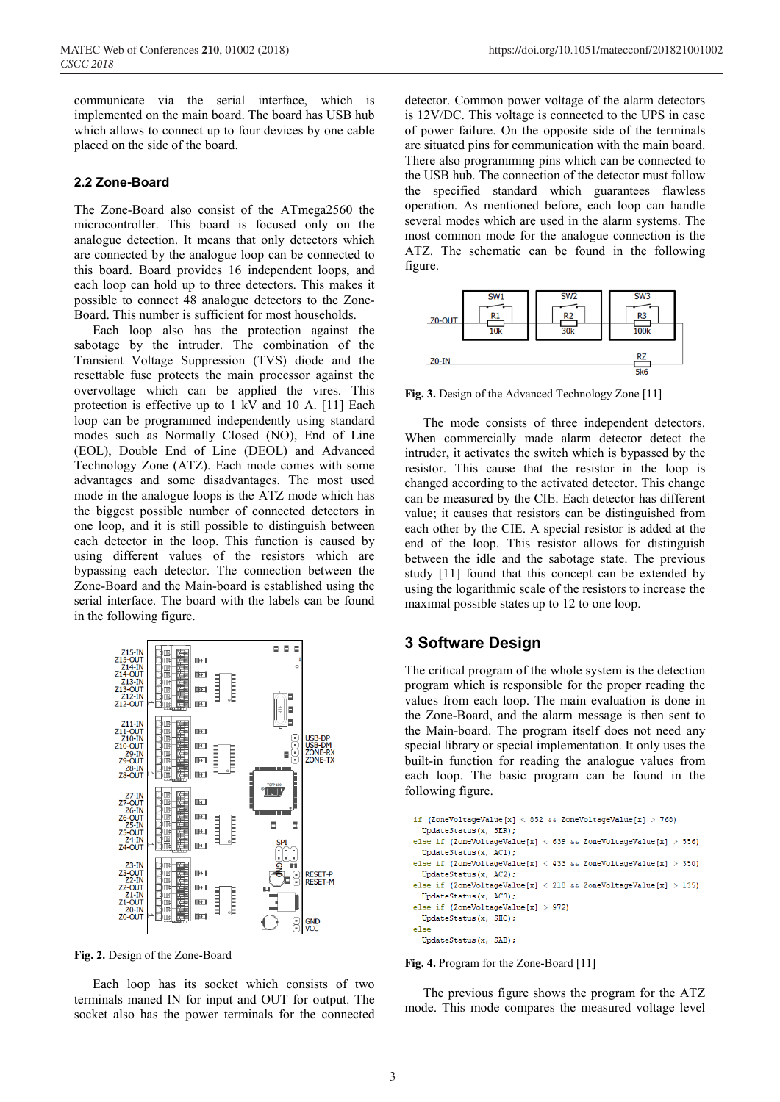communicate via the serial interface, which is implemented on the main board. The board has USB hub which allows to connect up to four devices by one cable placed on the side of the board.

### **2.2 Zone-Board**

The Zone-Board also consist of the ATmega2560 the microcontroller. This board is focused only on the analogue detection. It means that only detectors which are connected by the analogue loop can be connected to this board. Board provides 16 independent loops, and each loop can hold up to three detectors. This makes it possible to connect 48 analogue detectors to the Zone-Board. This number is sufficient for most households.

Each loop also has the protection against the sabotage by the intruder. The combination of the Transient Voltage Suppression (TVS) diode and the resettable fuse protects the main processor against the overvoltage which can be applied the vires. This protection is effective up to 1 kV and 10 A. [11] Each loop can be programmed independently using standard modes such as Normally Closed (NO), End of Line (EOL), Double End of Line (DEOL) and Advanced Technology Zone (ATZ). Each mode comes with some advantages and some disadvantages. The most used mode in the analogue loops is the ATZ mode which has the biggest possible number of connected detectors in one loop, and it is still possible to distinguish between each detector in the loop. This function is caused by using different values of the resistors which are bypassing each detector. The connection between the Zone-Board and the Main-board is established using the serial interface. The board with the labels can be found in the following figure.



**Fig. 2.** Design of the Zone-Board

Each loop has its socket which consists of two terminals maned IN for input and OUT for output. The socket also has the power terminals for the connected

detector. Common power voltage of the alarm detectors is 12V/DC. This voltage is connected to the UPS in case of power failure. On the opposite side of the terminals are situated pins for communication with the main board. There also programming pins which can be connected to the USB hub. The connection of the detector must follow the specified standard which guarantees flawless operation. As mentioned before, each loop can handle several modes which are used in the alarm systems. The most common mode for the analogue connection is the ATZ. The schematic can be found in the following figure.



**Fig. 3.** Design of the Advanced Technology Zone [11]

The mode consists of three independent detectors. When commercially made alarm detector detect the intruder, it activates the switch which is bypassed by the resistor. This cause that the resistor in the loop is changed according to the activated detector. This change can be measured by the CIE. Each detector has different value; it causes that resistors can be distinguished from each other by the CIE. A special resistor is added at the end of the loop. This resistor allows for distinguish between the idle and the sabotage state. The previous study [11] found that this concept can be extended by using the logarithmic scale of the resistors to increase the maximal possible states up to 12 to one loop.

### **3 Software Design**

The critical program of the whole system is the detection program which is responsible for the proper reading the values from each loop. The main evaluation is done in the Zone-Board, and the alarm message is then sent to the Main-board. The program itself does not need any special library or special implementation. It only uses the built-in function for reading the analogue values from each loop. The basic program can be found in the following figure.

```
if (ZoneVoltageValue[x] < 852 && ZoneVoltageValue[x] > 768)
  UpdateStatus(x, SER):
else if (ZoneVoltageValue[x] < 639 && ZoneVoltageValue[x] > 556)
  UpdateStatus(x, AC1);
else if (ZoneVoltageValue[x] < 433 && ZoneVoltageValue[x] > 350)
  UpdateStatus(x, AC2);
else if (ZoneVoltageValue[x] < 218 && ZoneVoltageValue[x] > 135)
 UpdateStatus(x, AC3);
else if (ZoneVoltageValue[x] > 972)
 UpdateStatus(x, SHC);
else
  UpdateStatus(x, SAB);
```
**Fig. 4.** Program for the Zone-Board [11]

The previous figure shows the program for the ATZ mode. This mode compares the measured voltage level